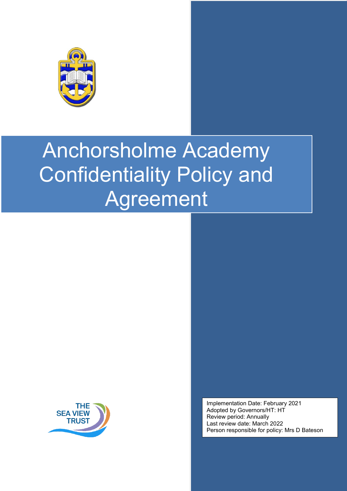



Implementation Date: February 2021 Adopted by Governors/HT: HT Review period: Annually Last review date: March 2022 Person responsible for policy: Mrs D Bateson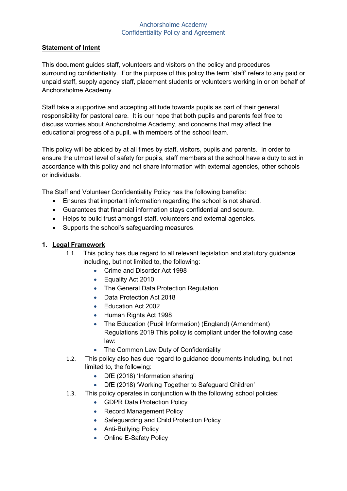#### **Statement of Intent**

This document guides staff, volunteers and visitors on the policy and procedures surrounding confidentiality. For the purpose of this policy the term 'staff' refers to any paid or unpaid staff, supply agency staff, placement students or volunteers working in or on behalf of Anchorsholme Academy.

Staff take a supportive and accepting attitude towards pupils as part of their general responsibility for pastoral care. It is our hope that both pupils and parents feel free to discuss worries about Anchorsholme Academy, and concerns that may affect the educational progress of a pupil, with members of the school team.

This policy will be abided by at all times by staff, visitors, pupils and parents. In order to ensure the utmost level of safety for pupils, staff members at the school have a duty to act in accordance with this policy and not share information with external agencies, other schools or individuals.

The Staff and Volunteer Confidentiality Policy has the following benefits:

- Ensures that important information regarding the school is not shared.
- Guarantees that financial information stays confidential and secure.
- Helps to build trust amongst staff, volunteers and external agencies.
- Supports the school's safeguarding measures.

#### **1. Legal Framework**

- 1.1. This policy has due regard to all relevant legislation and statutory guidance including, but not limited to, the following:
	- Crime and Disorder Act 1998
	- Equality Act 2010
	- The General Data Protection Regulation
	- Data Protection Act 2018
	- Education Act 2002
	- Human Rights Act 1998
	- The Education (Pupil Information) (England) (Amendment) Regulations 2019 This policy is compliant under the following case law:
	- The Common Law Duty of Confidentiality
- 1.2. This policy also has due regard to guidance documents including, but not limited to, the following:
	- DfE (2018) 'Information sharing'
	- DfE (2018) 'Working Together to Safeguard Children'
- 1.3. This policy operates in conjunction with the following school policies:
	- GDPR Data Protection Policy
	- Record Management Policy
	- Safeguarding and Child Protection Policy
	- Anti-Bullying Policy
	- Online E-Safety Policy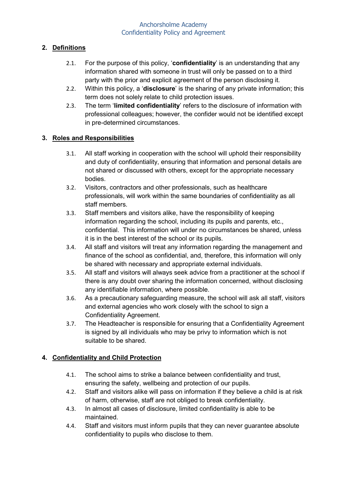### **2. Definitions**

- 2.1. For the purpose of this policy, '**confidentiality**' is an understanding that any information shared with someone in trust will only be passed on to a third party with the prior and explicit agreement of the person disclosing it.
- 2.2. Within this policy, a '**disclosure**' is the sharing of any private information; this term does not solely relate to child protection issues.
- 2.3. The term '**limited confidentiality**' refers to the disclosure of information with professional colleagues; however, the confider would not be identified except in pre-determined circumstances.

### **3. Roles and Responsibilities**

- 3.1. All staff working in cooperation with the school will uphold their responsibility and duty of confidentiality, ensuring that information and personal details are not shared or discussed with others, except for the appropriate necessary bodies.
- 3.2. Visitors, contractors and other professionals, such as healthcare professionals, will work within the same boundaries of confidentiality as all staff members.
- 3.3. Staff members and visitors alike, have the responsibility of keeping information regarding the school, including its pupils and parents, etc., confidential. This information will under no circumstances be shared, unless it is in the best interest of the school or its pupils.
- 3.4. All staff and visitors will treat any information regarding the management and finance of the school as confidential, and, therefore, this information will only be shared with necessary and appropriate external individuals.
- 3.5. All staff and visitors will always seek advice from a practitioner at the school if there is any doubt over sharing the information concerned, without disclosing any identifiable information, where possible.
- 3.6. As a precautionary safeguarding measure, the school will ask all staff, visitors and external agencies who work closely with the school to sign a Confidentiality Agreement.
- 3.7. The Headteacher is responsible for ensuring that a Confidentiality Agreement is signed by all individuals who may be privy to information which is not suitable to be shared.

### **4. Confidentiality and Child Protection**

- 4.1. The school aims to strike a balance between confidentiality and trust, ensuring the safety, wellbeing and protection of our pupils.
- 4.2. Staff and visitors alike will pass on information if they believe a child is at risk of harm, otherwise, staff are not obliged to break confidentiality.
- 4.3. In almost all cases of disclosure, limited confidentiality is able to be maintained.
- 4.4. Staff and visitors must inform pupils that they can never guarantee absolute confidentiality to pupils who disclose to them.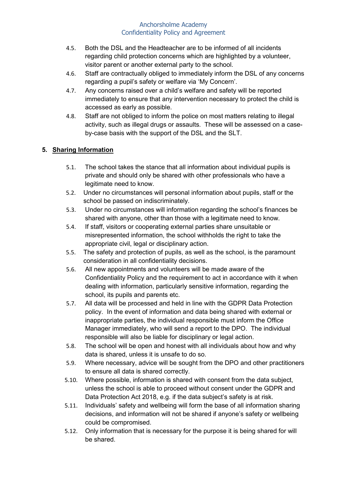- 4.5. Both the DSL and the Headteacher are to be informed of all incidents regarding child protection concerns which are highlighted by a volunteer, visitor parent or another external party to the school.
- 4.6. Staff are contractually obliged to immediately inform the DSL of any concerns regarding a pupil's safety or welfare via 'My Concern'.
- 4.7. Any concerns raised over a child's welfare and safety will be reported immediately to ensure that any intervention necessary to protect the child is accessed as early as possible.
- 4.8. Staff are not obliged to inform the police on most matters relating to illegal activity, such as illegal drugs or assaults. These will be assessed on a caseby-case basis with the support of the DSL and the SLT.

## **5. Sharing Information**

- 5.1. The school takes the stance that all information about individual pupils is private and should only be shared with other professionals who have a legitimate need to know.
- 5.2. Under no circumstances will personal information about pupils, staff or the school be passed on indiscriminately.
- 5.3. Under no circumstances will information regarding the school's finances be shared with anyone, other than those with a legitimate need to know.
- 5.4. If staff, visitors or cooperating external parties share unsuitable or misrepresented information, the school withholds the right to take the appropriate civil, legal or disciplinary action.
- 5.5. The safety and protection of pupils, as well as the school, is the paramount consideration in all confidentiality decisions.
- 5.6. All new appointments and volunteers will be made aware of the Confidentiality Policy and the requirement to act in accordance with it when dealing with information, particularly sensitive information, regarding the school, its pupils and parents etc.
- 5.7. All data will be processed and held in line with the GDPR Data Protection policy. In the event of information and data being shared with external or inappropriate parties, the individual responsible must inform the Office Manager immediately, who will send a report to the DPO. The individual responsible will also be liable for disciplinary or legal action.
- 5.8. The school will be open and honest with all individuals about how and why data is shared, unless it is unsafe to do so.
- 5.9. Where necessary, advice will be sought from the DPO and other practitioners to ensure all data is shared correctly.
- 5.10. Where possible, information is shared with consent from the data subject, unless the school is able to proceed without consent under the GDPR and Data Protection Act 2018, e.g. if the data subject's safety is at risk.
- 5.11. Individuals' safety and wellbeing will form the base of all information sharing decisions, and information will not be shared if anyone's safety or wellbeing could be compromised.
- 5.12. Only information that is necessary for the purpose it is being shared for will be shared.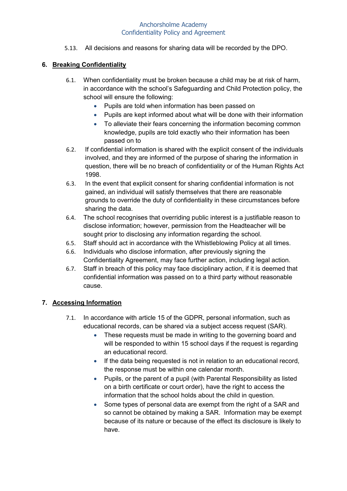5.13. All decisions and reasons for sharing data will be recorded by the DPO.

## **6. Breaking Confidentiality**

- 6.1. When confidentiality must be broken because a child may be at risk of harm, in accordance with the school's Safeguarding and Child Protection policy, the school will ensure the following:
	- Pupils are told when information has been passed on
	- Pupils are kept informed about what will be done with their information
	- To alleviate their fears concerning the information becoming common knowledge, pupils are told exactly who their information has been passed on to
- 6.2. If confidential information is shared with the explicit consent of the individuals involved, and they are informed of the purpose of sharing the information in question, there will be no breach of confidentiality or of the Human Rights Act 1998.
- 6.3. In the event that explicit consent for sharing confidential information is not gained, an individual will satisfy themselves that there are reasonable grounds to override the duty of confidentiality in these circumstances before sharing the data.
- 6.4. The school recognises that overriding public interest is a justifiable reason to disclose information; however, permission from the Headteacher will be sought prior to disclosing any information regarding the school.
- 6.5. Staff should act in accordance with the Whistleblowing Policy at all times.
- 6.6. Individuals who disclose information, after previously signing the Confidentiality Agreement, may face further action, including legal action.
- 6.7. Staff in breach of this policy may face disciplinary action, if it is deemed that confidential information was passed on to a third party without reasonable cause.

## **7. Accessing Information**

- 7.1. In accordance with article 15 of the GDPR, personal information, such as educational records, can be shared via a subject access request (SAR).
	- These requests must be made in writing to the governing board and will be responded to within 15 school days if the request is regarding an educational record.
	- If the data being requested is not in relation to an educational record, the response must be within one calendar month.
	- Pupils, or the parent of a pupil (with Parental Responsibility as listed on a birth certificate or court order), have the right to access the information that the school holds about the child in question.
	- Some types of personal data are exempt from the right of a SAR and so cannot be obtained by making a SAR. Information may be exempt because of its nature or because of the effect its disclosure is likely to have.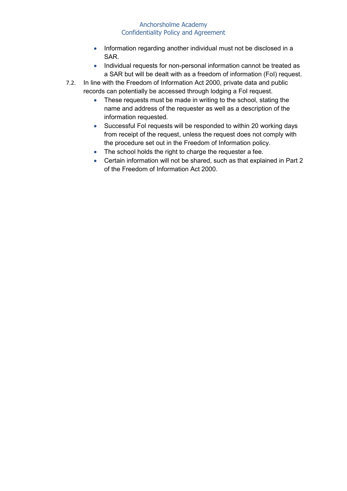- Information regarding another individual must not be disclosed in a SAR.
- Individual requests for non-personal information cannot be treated as a SAR but will be dealt with as a freedom of information (FoI) request.
- 7.2. In line with the Freedom of Information Act 2000, private data and public records can potentially be accessed through lodging a FoI request.
	- These requests must be made in writing to the school, stating the name and address of the requester as well as a description of the information requested.
	- Successful Fol requests will be responded to within 20 working days from receipt of the request, unless the request does not comply with the procedure set out in the Freedom of Information policy.
	- The school holds the right to charge the requester a fee.
	- Certain information will not be shared, such as that explained in Part 2 of the Freedom of Information Act 2000.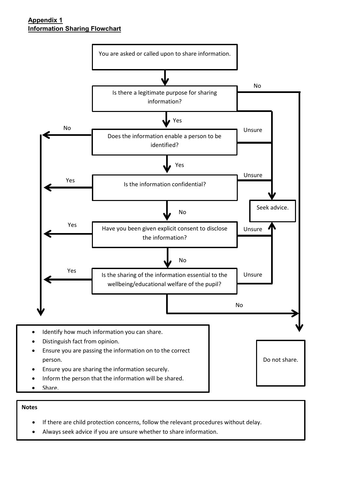### **Appendix 1 Information Sharing Flowchart**



- Ensure you are sharing the information securely.
- Inform the person that the information will be shared.
- Share.

#### **Notes**

- If there are child protection concerns, follow the relevant procedures without delay.
- Always seek advice if you are unsure whether to share information.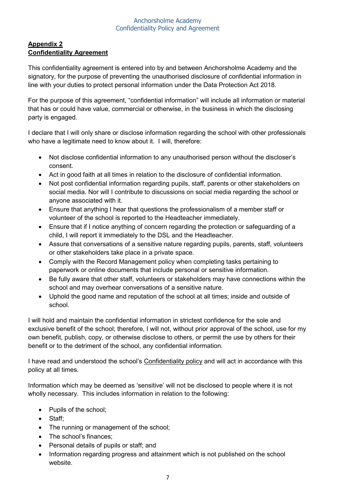## **Appendix 2 Confidentiality Agreement**

This confidentiality agreement is entered into by and between Anchorsholme Academy and the signatory, for the purpose of preventing the unauthorised disclosure of confidential information in line with your duties to protect personal information under the Data Protection Act 2018.

For the purpose of this agreement, "confidential information" will include all information or material that has or could have value, commercial or otherwise, in the business in which the disclosing party is engaged.

I declare that I will only share or disclose information regarding the school with other professionals who have a legitimate need to know about it. I will, therefore:

- Not disclose confidential information to any unauthorised person without the discloser's consent.
- Act in good faith at all times in relation to the disclosure of confidential information.
- Not post confidential information regarding pupils, staff, parents or other stakeholders on social media. Nor will I contribute to discussions on social media regarding the school or anyone associated with it.
- Ensure that anything I hear that questions the professionalism of a member staff or volunteer of the school is reported to the Headteacher immediately.
- Ensure that if I notice anything of concern regarding the protection or safeguarding of a child, I will report it immediately to the DSL and the Headteacher.
- Assure that conversations of a sensitive nature regarding pupils, parents, staff, volunteers or other stakeholders take place in a private space.
- Comply with the [Record Management policy](https://www.theschoolbus.net/article/records-management-policy/5809) when completing tasks pertaining to paperwork or online documents that include personal or sensitive information.
- Be fully aware that other staff, volunteers or stakeholders may have connections within the school and may overhear conversations of a sensitive nature.
- Uphold the good name and reputation of the school at all times; inside and outside of school.

I will hold and maintain the confidential information in strictest confidence for the sole and exclusive benefit of the school; therefore, I will not, without prior approval of the school, use for my own benefit, publish, copy, or otherwise disclose to others, or permit the use by others for their benefit or to the detriment of the school, any confidential information.

I have read and understood the school's [Confidentiality policy](https://www.theschoolbus.net/article/staff-and-volunteer-confidentiality-policy/2534) and will act in accordance with this policy at all times.

Information which may be deemed as 'sensitive' will not be disclosed to people where it is not wholly necessary. This includes information in relation to the following:

- Pupils of the school;
- Staff;
- The running or management of the school;
- The school's finances;
- Personal details of pupils or staff; and
- Information regarding progress and attainment which is not published on the school website.